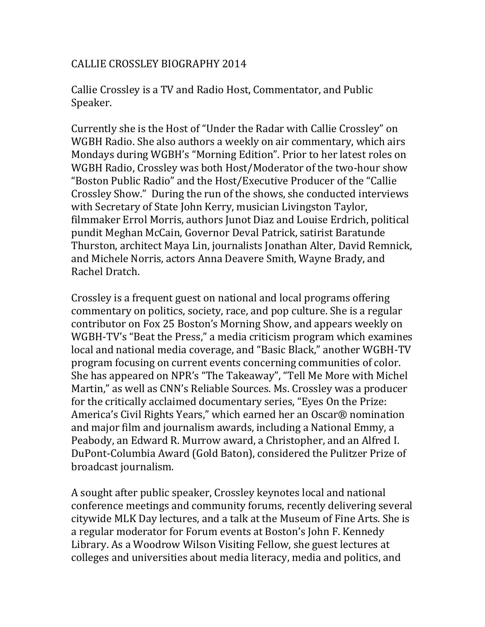## CALLIE CROSSLEY BIOGRAPHY 2014

Callie Crossley is a TV and Radio Host, Commentator, and Public Speaker.

Currently she is the Host of "Under the Radar with Callie Crossley" on WGBH Radio. She also authors a weekly on air commentary, which airs Mondays during WGBH's "Morning Edition". Prior to her latest roles on WGBH Radio, Crossley was both Host/Moderator of the two-hour show "Boston Public Radio" and the Host/Executive Producer of the "Callie Crossley Show." During the run of the shows, she conducted interviews with Secretary of State John Kerry, musician Livingston Taylor, filmmaker Errol Morris, authors Junot Diaz and Louise Erdrich, political pundit Meghan McCain, Governor Deval Patrick, satirist Baratunde Thurston, architect Maya Lin, journalists Jonathan Alter, David Remnick, and Michele Norris, actors Anna Deavere Smith, Wayne Brady, and Rachel Dratch.

Crossley is a frequent guest on national and local programs offering commentary on politics, society, race, and pop culture. She is a regular contributor on Fox 25 Boston's Morning Show, and appears weekly on WGBH-TV's "Beat the Press," a media criticism program which examines local and national media coverage, and "Basic Black," another WGBH-TV program focusing on current events concerning communities of color. She has appeared on NPR's "The Takeaway", "Tell Me More with Michel Martin," as well as CNN's Reliable Sources. Ms. Crossley was a producer for the critically acclaimed documentary series, "Eyes On the Prize: America's Civil Rights Years," which earned her an Oscar® nomination and major film and journalism awards, including a National Emmy, a Peabody, an Edward R. Murrow award, a Christopher, and an Alfred I. DuPont-Columbia Award (Gold Baton), considered the Pulitzer Prize of broadcast journalism.

A sought after public speaker, Crossley keynotes local and national conference meetings and community forums, recently delivering several citywide MLK Day lectures, and a talk at the Museum of Fine Arts. She is a regular moderator for Forum events at Boston's John F. Kennedy Library. As a Woodrow Wilson Visiting Fellow, she guest lectures at colleges and universities about media literacy, media and politics, and